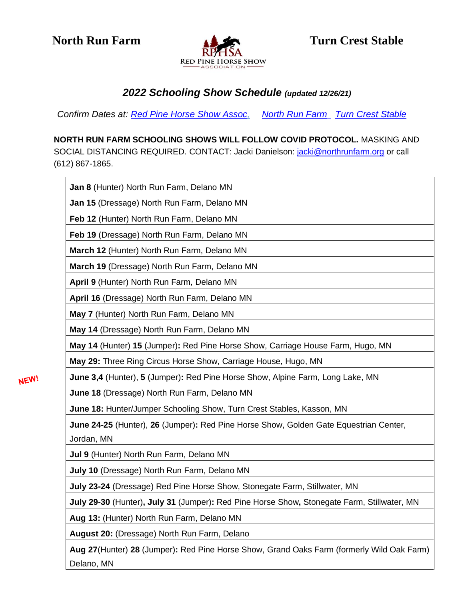

## *2022 Schooling Show Schedule (updated 12/26/21)*

*Confirm Dates at: [Red Pine Horse Show Assoc,](http://www.rphsa.com/) [North Run Farm](file:///C:/NLG%20DATA/NLG%20Docs/2%20Horses/MHJA%20Website/2021%20Schooling%20Shows/northrunfarm.org) [Turn Crest Stable](https://www.turncreststable.com/)*

**NORTH RUN FARM SCHOOLING SHOWS WILL FOLLOW COVID PROTOCOL.** MASKING AND SOCIAL DISTANCING REQUIRED. CONTACT: Jacki Danielson: [jacki@northrunfarm.org](mailto:jacki@northrunfarm.org) or call (612) 867-1865.

| Jan 8 (Hunter) North Run Farm, Delano MN                                                                |
|---------------------------------------------------------------------------------------------------------|
| Jan 15 (Dressage) North Run Farm, Delano MN                                                             |
| Feb 12 (Hunter) North Run Farm, Delano MN                                                               |
| Feb 19 (Dressage) North Run Farm, Delano MN                                                             |
| March 12 (Hunter) North Run Farm, Delano MN                                                             |
| March 19 (Dressage) North Run Farm, Delano MN                                                           |
| April 9 (Hunter) North Run Farm, Delano MN                                                              |
| April 16 (Dressage) North Run Farm, Delano MN                                                           |
| May 7 (Hunter) North Run Farm, Delano MN                                                                |
| May 14 (Dressage) North Run Farm, Delano MN                                                             |
| May 14 (Hunter) 15 (Jumper): Red Pine Horse Show, Carriage House Farm, Hugo, MN                         |
| May 29: Three Ring Circus Horse Show, Carriage House, Hugo, MN                                          |
| June 3,4 (Hunter), 5 (Jumper): Red Pine Horse Show, Alpine Farm, Long Lake, MN                          |
| June 18 (Dressage) North Run Farm, Delano MN                                                            |
| June 18: Hunter/Jumper Schooling Show, Turn Crest Stables, Kasson, MN                                   |
| June 24-25 (Hunter), 26 (Jumper): Red Pine Horse Show, Golden Gate Equestrian Center,<br>Jordan, MN     |
| Jul 9 (Hunter) North Run Farm, Delano MN                                                                |
| July 10 (Dressage) North Run Farm, Delano MN                                                            |
| July 23-24 (Dressage) Red Pine Horse Show, Stonegate Farm, Stillwater, MN                               |
| July 29-30 (Hunter), July 31 (Jumper): Red Pine Horse Show, Stonegate Farm, Stillwater, MN              |
| Aug 13: (Hunter) North Run Farm, Delano MN                                                              |
| August 20: (Dressage) North Run Farm, Delano                                                            |
| Aug 27(Hunter) 28 (Jumper): Red Pine Horse Show, Grand Oaks Farm (formerly Wild Oak Farm)<br>Delano, MN |

NEW!